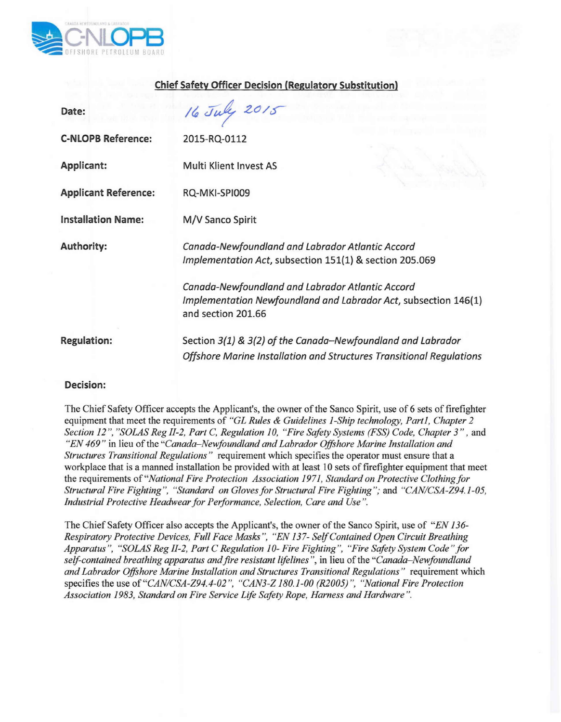

## **Chief Safety Officer Decision (Regulatory Substitution)**

| Date:                       | 16 July 2015                                                                                                                              |
|-----------------------------|-------------------------------------------------------------------------------------------------------------------------------------------|
| <b>C-NLOPB Reference:</b>   | 2015-RQ-0112                                                                                                                              |
| <b>Applicant:</b>           | <b>Multi Klient Invest AS</b>                                                                                                             |
| <b>Applicant Reference:</b> | RQ-MKI-SPI009                                                                                                                             |
| <b>Installation Name:</b>   | M/V Sanco Spirit                                                                                                                          |
| <b>Authority:</b>           | Canada-Newfoundland and Labrador Atlantic Accord<br>Implementation Act, subsection 151(1) & section 205.069                               |
|                             | Canada-Newfoundland and Labrador Atlantic Accord<br>Implementation Newfoundland and Labrador Act, subsection 146(1)<br>and section 201.66 |
| <b>Regulation:</b>          | Section 3(1) & 3(2) of the Canada-Newfoundland and Labrador<br>Offshore Marine Installation and Structures Transitional Regulations       |

## **Decision:**

The Chief Safety Officer accepts the Applicant's, the owner of the Sanco Spirit, use of 6 sets of firefighter equipment that meet the requirements of *"GL Rules* & *Guidelines 1-Ship technology, Part I, Chapter 2 Section* 12 ", *"SaLAS Reg 11-2,Part* C, *Regulation 10, "Fire Safety Systems (FSS) Code, Chapter* 3" , and *"EN* 469" in lieu of the *"Canada-Newfoundland and Labrador Offshore Marine Installation and Structures Transitional Regulations"* requirement which specifies the operator must ensure that a workplace that is a manned installation be provided with at least 10 sets of firefighter equipment that meet the requirements of *"National Fire Protection Association* 1971, *Standard on Protective Clothing for Structural Fire Fighting", "Standard on Glovesfor Structural Fire Fighting";* and *"C'ANICSA-Z94.1-05, Industrial Protective Headwear for Performance, Selection, Care and Use ".*

The Chief Safety Officer also accepts the Applicant's, the owner of the Sanco Spirit, use of *"EN 136- Respiratory Protective Devices, Full Face Masks ", "EN* 137- *Self Contained Open Circuit Breathing Apparatus ". "SaLAS Reg 11-2,Part* C *Regulation 10- Fire Fighting", "Fire Safety System Code" for self-contained breathing apparatus and fire resistant lifelines ",* in lieu of the *"Canada-Newfoundland and Labrador Offshore Marine Installation and Structures Transitional Regulations"* requirement which specifies the use of *"CANICSA-Z94. 4-02 '', "CAN3-Z 180.1-00 (R2005) ". "National Fire Protection Association* 1983, *Standard on Fire Service Life Safety Rope, Harness and Hardware ".*